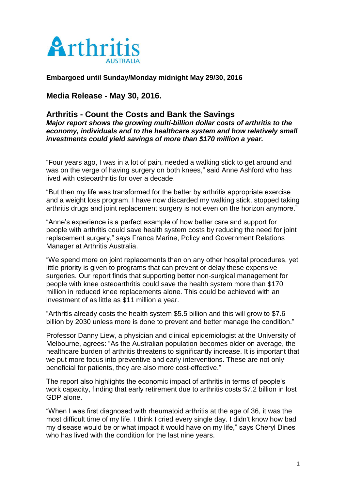

**Embargoed until Sunday/Monday midnight May 29/30, 2016**

## **Media Release - May 30, 2016.**

#### **Arthritis - Count the Costs and Bank the Savings**

*Major report shows the growing multi-billion dollar costs of arthritis to the economy, individuals and to the healthcare system and how relatively small investments could yield savings of more than \$170 million a year.*

"Four years ago, I was in a lot of pain, needed a walking stick to get around and was on the verge of having surgery on both knees," said Anne Ashford who has lived with osteoarthritis for over a decade.

"But then my life was transformed for the better by arthritis appropriate exercise and a weight loss program. I have now discarded my walking stick, stopped taking arthritis drugs and joint replacement surgery is not even on the horizon anymore."

"Anne's experience is a perfect example of how better care and support for people with arthritis could save health system costs by reducing the need for joint replacement surgery," says Franca Marine, Policy and Government Relations Manager at Arthritis Australia.

"We spend more on joint replacements than on any other hospital procedures, yet little priority is given to programs that can prevent or delay these expensive surgeries. Our report finds that supporting better non-surgical management for people with knee osteoarthritis could save the health system more than \$170 million in reduced knee replacements alone. This could be achieved with an investment of as little as \$11 million a year.

"Arthritis already costs the health system \$5.5 billion and this will grow to \$7.6 billion by 2030 unless more is done to prevent and better manage the condition."

Professor Danny Liew, a physician and clinical epidemiologist at the University of Melbourne, agrees: "As the Australian population becomes older on average, the healthcare burden of arthritis threatens to significantly increase. It is important that we put more focus into preventive and early interventions. These are not only beneficial for patients, they are also more cost-effective."

The report also highlights the economic impact of arthritis in terms of people's work capacity, finding that early retirement due to arthritis costs \$7.2 billion in lost GDP alone.

"When I was first diagnosed with rheumatoid arthritis at the age of 36, it was the most difficult time of my life. I think I cried every single day. I didn't know how bad my disease would be or what impact it would have on my life," says Cheryl Dines who has lived with the condition for the last nine years.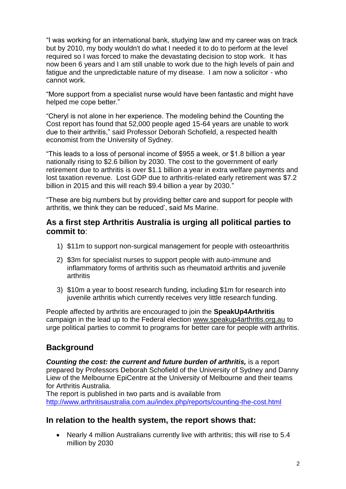"I was working for an international bank, studying law and my career was on track but by 2010, my body wouldn't do what I needed it to do to perform at the level required so I was forced to make the devastating decision to stop work. It has now been 6 years and I am still unable to work due to the high levels of pain and fatigue and the unpredictable nature of my disease. I am now a solicitor - who cannot work.

"More support from a specialist nurse would have been fantastic and might have helped me cope better."

"Cheryl is not alone in her experience. The modeling behind the Counting the Cost report has found that 52,000 people aged 15-64 years are unable to work due to their arthritis," said Professor Deborah Schofield, a respected health economist from the University of Sydney.

"This leads to a loss of personal income of \$955 a week, or \$1.8 billion a year nationally rising to \$2.6 billion by 2030. The cost to the government of early retirement due to arthritis is over \$1.1 billion a year in extra welfare payments and lost taxation revenue. Lost GDP due to arthritis-related early retirement was \$7.2 billion in 2015 and this will reach \$9.4 billion a year by 2030."

"These are big numbers but by providing better care and support for people with arthritis, we think they can be reduced', said Ms Marine.

#### **As a first step Arthritis Australia is urging all political parties to commit to**:

- 1) \$11m to support non-surgical management for people with osteoarthritis
- 2) \$3m for specialist nurses to support people with auto-immune and inflammatory forms of arthritis such as rheumatoid arthritis and juvenile **arthritis**
- 3) \$10m a year to boost research funding, including \$1m for research into juvenile arthritis which currently receives very little research funding.

People affected by arthritis are encouraged to join the **SpeakUp4Arthritis** campaign in the lead up to the Federal election [www.speakup4arthritis.org.au](http://www.speakup4arthritis.org.au/) to urge political parties to commit to programs for better care for people with arthritis.

## **Background**

**Counting the cost: the current and future burden of arthritis, is a report** prepared by Professors Deborah Schofield of the University of Sydney and Danny Liew of the Melbourne EpiCentre at the University of Melbourne and their teams for Arthritis Australia.

The report is published in two parts and is available from <http://www.arthritisaustralia.com.au/index.php/reports/counting-the-cost.html>

## **In relation to the health system, the report shows that:**

 Nearly 4 million Australians currently live with arthritis; this will rise to 5.4 million by 2030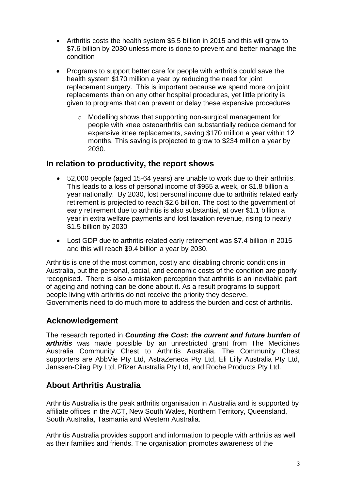- Arthritis costs the health system \$5.5 billion in 2015 and this will grow to \$7.6 billion by 2030 unless more is done to prevent and better manage the condition
- Programs to support better care for people with arthritis could save the health system \$170 million a year by reducing the need for joint replacement surgery. This is important because we spend more on joint replacements than on any other hospital procedures, yet little priority is given to programs that can prevent or delay these expensive procedures
	- o Modelling shows that supporting non-surgical management for people with knee osteoarthritis can substantially reduce demand for expensive knee replacements, saving \$170 million a year within 12 months. This saving is projected to grow to \$234 million a year by 2030.

#### **In relation to productivity, the report shows**

- 52,000 people (aged 15-64 years) are unable to work due to their arthritis. This leads to a loss of personal income of \$955 a week, or \$1.8 billion a year nationally. By 2030, lost personal income due to arthritis related early retirement is projected to reach \$2.6 billion. The cost to the government of early retirement due to arthritis is also substantial, at over \$1.1 billion a year in extra welfare payments and lost taxation revenue, rising to nearly \$1.5 billion by 2030
- Lost GDP due to arthritis-related early retirement was \$7.4 billion in 2015 and this will reach \$9.4 billion a year by 2030.

Arthritis is one of the most common, costly and disabling chronic conditions in Australia, but the personal, social, and economic costs of the condition are poorly recognised. There is also a mistaken perception that arthritis is an inevitable part of ageing and nothing can be done about it. As a result programs to support people living with arthritis do not receive the priority they deserve. Governments need to do much more to address the burden and cost of arthritis.

## **Acknowledgement**

The research reported in *Counting the Cost: the current and future burden of arthritis* was made possible by an unrestricted grant from The Medicines Australia Community Chest to Arthritis Australia. The Community Chest supporters are AbbVie Pty Ltd, AstraZeneca Pty Ltd, Eli Lilly Australia Pty Ltd, Janssen-Cilag Pty Ltd, Pfizer Australia Pty Ltd, and Roche Products Pty Ltd.

# **About Arthritis Australia**

Arthritis Australia is the peak arthritis organisation in Australia and is supported by affiliate offices in the ACT, New South Wales, Northern Territory, Queensland, South Australia, Tasmania and Western Australia.

Arthritis Australia provides support and information to people with arthritis as well as their families and friends. The organisation promotes awareness of the